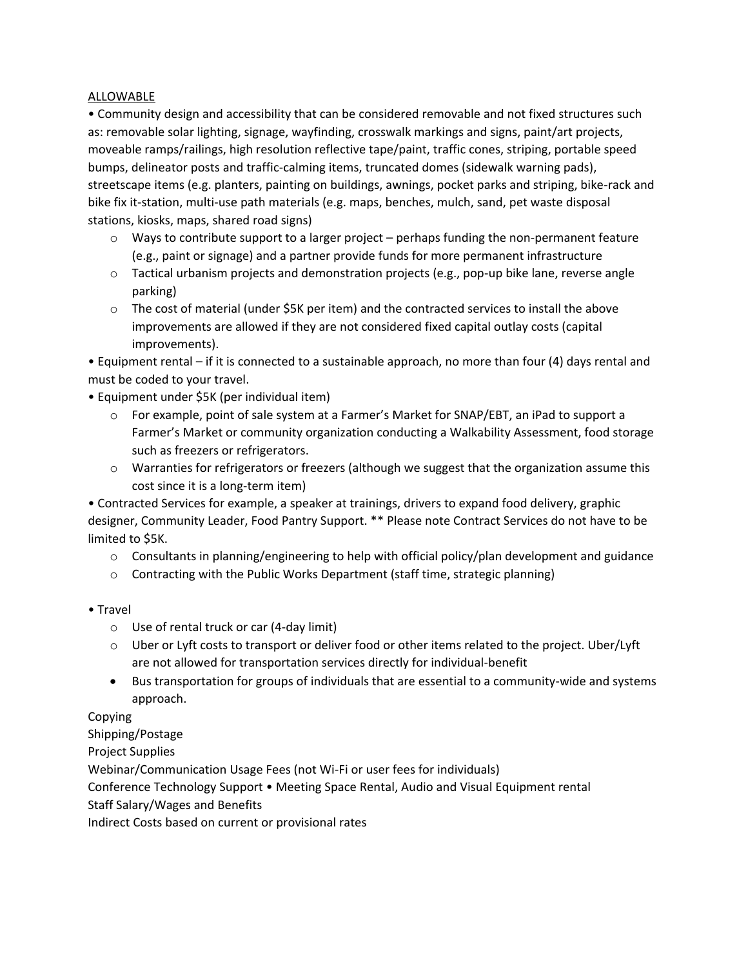## ALLOWABLE

• Community design and accessibility that can be considered removable and not fixed structures such as: removable solar lighting, signage, wayfinding, crosswalk markings and signs, paint/art projects, moveable ramps/railings, high resolution reflective tape/paint, traffic cones, striping, portable speed bumps, delineator posts and traffic-calming items, truncated domes (sidewalk warning pads), streetscape items (e.g. planters, painting on buildings, awnings, pocket parks and striping, bike-rack and bike fix it-station, multi-use path materials (e.g. maps, benches, mulch, sand, pet waste disposal stations, kiosks, maps, shared road signs)

- $\circ$  Ways to contribute support to a larger project perhaps funding the non-permanent feature (e.g., paint or signage) and a partner provide funds for more permanent infrastructure
- $\circ$  Tactical urbanism projects and demonstration projects (e.g., pop-up bike lane, reverse angle parking)
- $\circ$  The cost of material (under \$5K per item) and the contracted services to install the above improvements are allowed if they are not considered fixed capital outlay costs (capital improvements).

• Equipment rental – if it is connected to a sustainable approach, no more than four (4) days rental and must be coded to your travel.

• Equipment under \$5K (per individual item)

- o For example, point of sale system at a Farmer's Market for SNAP/EBT, an iPad to support a Farmer's Market or community organization conducting a Walkability Assessment, food storage such as freezers or refrigerators.
- o Warranties for refrigerators or freezers (although we suggest that the organization assume this cost since it is a long-term item)

• Contracted Services for example, a speaker at trainings, drivers to expand food delivery, graphic designer, Community Leader, Food Pantry Support. \*\* Please note Contract Services do not have to be limited to \$5K.

- $\circ$  Consultants in planning/engineering to help with official policy/plan development and guidance
- $\circ$  Contracting with the Public Works Department (staff time, strategic planning)
- Travel
	- o Use of rental truck or car (4-day limit)
	- o Uber or Lyft costs to transport or deliver food or other items related to the project. Uber/Lyft are not allowed for transportation services directly for individual-benefit
	- Bus transportation for groups of individuals that are essential to a community-wide and systems approach.

Copying

Shipping/Postage

Project Supplies

Webinar/Communication Usage Fees (not Wi-Fi or user fees for individuals)

Conference Technology Support • Meeting Space Rental, Audio and Visual Equipment rental

Staff Salary/Wages and Benefits

Indirect Costs based on current or provisional rates